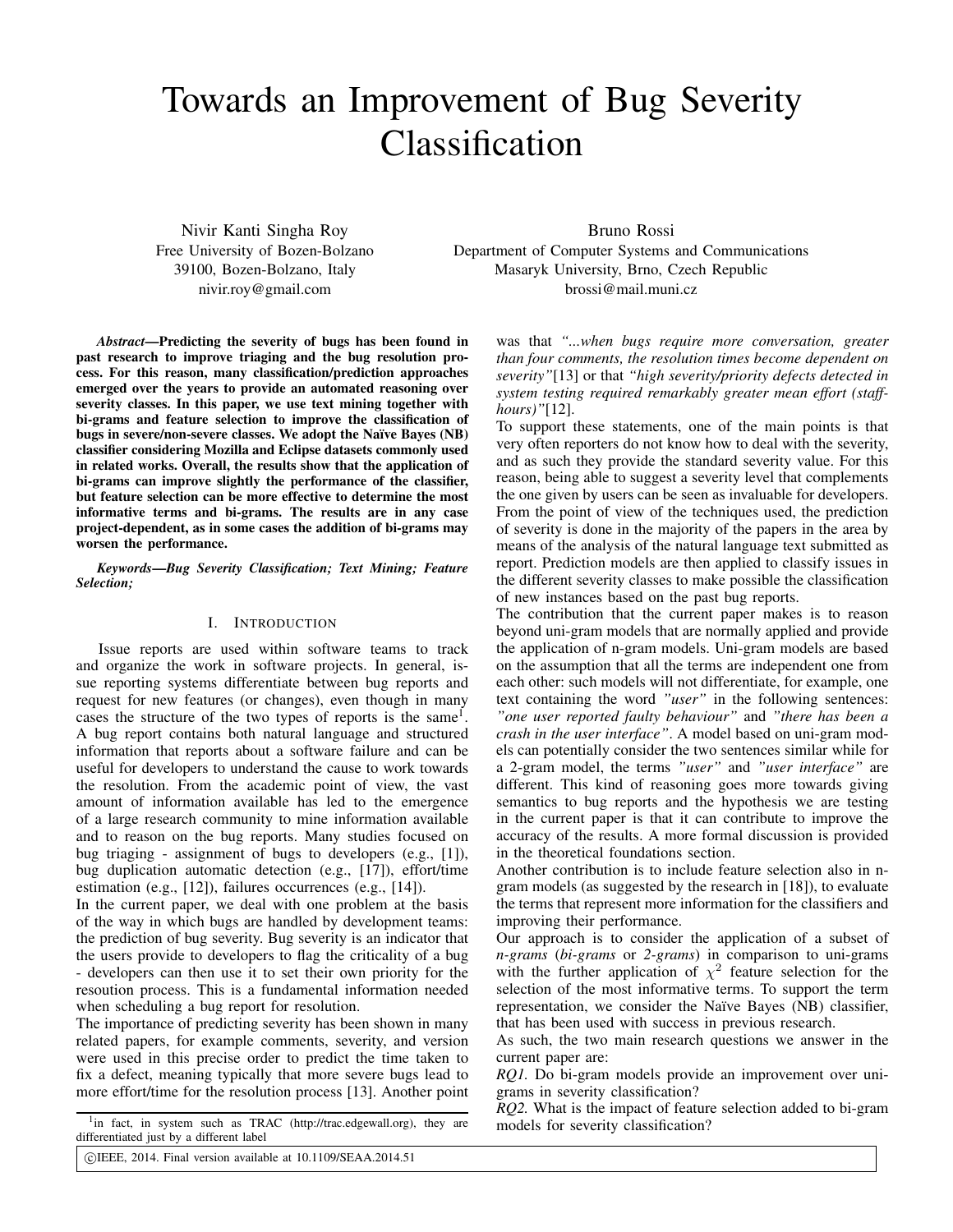# Towards an Improvement of Bug Severity Classification

Nivir Kanti Singha Roy Free University of Bozen-Bolzano 39100, Bozen-Bolzano, Italy nivir.roy@gmail.com

Bruno Rossi Department of Computer Systems and Communications Masaryk University, Brno, Czech Republic brossi@mail.muni.cz

*Abstract*—Predicting the severity of bugs has been found in past research to improve triaging and the bug resolution process. For this reason, many classification/prediction approaches emerged over the years to provide an automated reasoning over severity classes. In this paper, we use text mining together with bi-grams and feature selection to improve the classification of bugs in severe/non-severe classes. We adopt the Naïve Bayes (NB) classifier considering Mozilla and Eclipse datasets commonly used in related works. Overall, the results show that the application of bi-grams can improve slightly the performance of the classifier, but feature selection can be more effective to determine the most informative terms and bi-grams. The results are in any case project-dependent, as in some cases the addition of bi-grams may worsen the performance.

*Keywords*—*Bug Severity Classification; Text Mining; Feature Selection;*

## I. INTRODUCTION

Issue reports are used within software teams to track and organize the work in software projects. In general, issue reporting systems differentiate between bug reports and request for new features (or changes), even though in many cases the structure of the two types of reports is the same<sup>1</sup>. A bug report contains both natural language and structured information that reports about a software failure and can be useful for developers to understand the cause to work towards the resolution. From the academic point of view, the vast amount of information available has led to the emergence of a large research community to mine information available and to reason on the bug reports. Many studies focused on bug triaging - assignment of bugs to developers (e.g., [1]), bug duplication automatic detection (e.g., [17]), effort/time estimation (e.g., [12]), failures occurrences (e.g., [14]).

In the current paper, we deal with one problem at the basis of the way in which bugs are handled by development teams: the prediction of bug severity. Bug severity is an indicator that the users provide to developers to flag the criticality of a bug - developers can then use it to set their own priority for the resoution process. This is a fundamental information needed when scheduling a bug report for resolution.

The importance of predicting severity has been shown in many related papers, for example comments, severity, and version were used in this precise order to predict the time taken to fix a defect, meaning typically that more severe bugs lead to more effort/time for the resolution process [13]. Another point

<sup>1</sup>in fact, in system such as TRAC (http://trac.edgewall.org), they are differentiated just by a different label

was that *"...when bugs require more conversation, greater than four comments, the resolution times become dependent on severity"*[13] or that *"high severity/priority defects detected in system testing required remarkably greater mean effort (staffhours)"*[12].

To support these statements, one of the main points is that very often reporters do not know how to deal with the severity, and as such they provide the standard severity value. For this reason, being able to suggest a severity level that complements the one given by users can be seen as invaluable for developers. From the point of view of the techniques used, the prediction of severity is done in the majority of the papers in the area by means of the analysis of the natural language text submitted as report. Prediction models are then applied to classify issues in the different severity classes to make possible the classification of new instances based on the past bug reports.

The contribution that the current paper makes is to reason beyond uni-gram models that are normally applied and provide the application of n-gram models. Uni-gram models are based on the assumption that all the terms are independent one from each other: such models will not differentiate, for example, one text containing the word *"user"* in the following sentences: *"one user reported faulty behaviour"* and *"there has been a crash in the user interface"*. A model based on uni-gram models can potentially consider the two sentences similar while for a 2-gram model, the terms *"user"* and *"user interface"* are different. This kind of reasoning goes more towards giving semantics to bug reports and the hypothesis we are testing in the current paper is that it can contribute to improve the accuracy of the results. A more formal discussion is provided in the theoretical foundations section.

Another contribution is to include feature selection also in ngram models (as suggested by the research in [18]), to evaluate the terms that represent more information for the classifiers and improving their performance.

Our approach is to consider the application of a subset of *n-grams* (*bi-grams* or *2-grams*) in comparison to uni-grams with the further application of  $\chi^2$  feature selection for the selection of the most informative terms. To support the term representation, we consider the Naïve Bayes (NB) classifier, that has been used with success in previous research.

As such, the two main research questions we answer in the current paper are:

*RQ1*. Do bi-gram models provide an improvement over unigrams in severity classification?

*RQ2.* What is the impact of feature selection added to bi-gram models for severity classification?

c IEEE, 2014. Final version available at 10.1109/SEAA.2014.51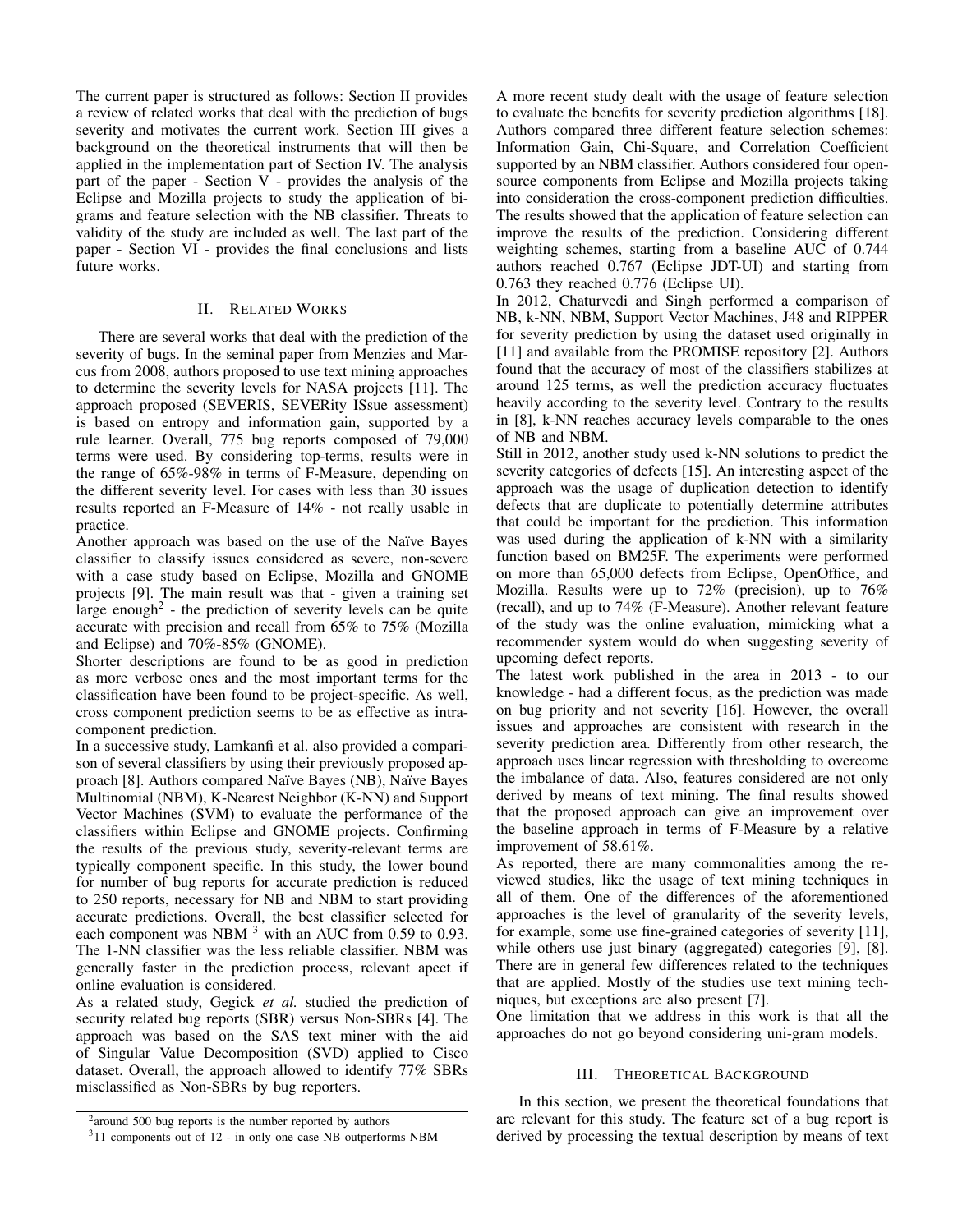The current paper is structured as follows: Section II provides a review of related works that deal with the prediction of bugs severity and motivates the current work. Section III gives a background on the theoretical instruments that will then be applied in the implementation part of Section IV. The analysis part of the paper - Section V - provides the analysis of the Eclipse and Mozilla projects to study the application of bigrams and feature selection with the NB classifier. Threats to validity of the study are included as well. The last part of the paper - Section VI - provides the final conclusions and lists future works.

## II. RELATED WORKS

There are several works that deal with the prediction of the severity of bugs. In the seminal paper from Menzies and Marcus from 2008, authors proposed to use text mining approaches to determine the severity levels for NASA projects [11]. The approach proposed (SEVERIS, SEVERity ISsue assessment) is based on entropy and information gain, supported by a rule learner. Overall, 775 bug reports composed of 79,000 terms were used. By considering top-terms, results were in the range of 65%-98% in terms of F-Measure, depending on the different severity level. For cases with less than 30 issues results reported an F-Measure of 14% - not really usable in practice.

Another approach was based on the use of the Naïve Bayes classifier to classify issues considered as severe, non-severe with a case study based on Eclipse, Mozilla and GNOME projects [9]. The main result was that - given a training set large enough<sup>2</sup> - the prediction of severity levels can be quite accurate with precision and recall from 65% to 75% (Mozilla and Eclipse) and 70%-85% (GNOME).

Shorter descriptions are found to be as good in prediction as more verbose ones and the most important terms for the classification have been found to be project-specific. As well, cross component prediction seems to be as effective as intracomponent prediction.

In a successive study, Lamkanfi et al. also provided a comparison of several classifiers by using their previously proposed approach [8]. Authors compared Naïve Bayes (NB), Naïve Bayes Multinomial (NBM), K-Nearest Neighbor (K-NN) and Support Vector Machines (SVM) to evaluate the performance of the classifiers within Eclipse and GNOME projects. Confirming the results of the previous study, severity-relevant terms are typically component specific. In this study, the lower bound for number of bug reports for accurate prediction is reduced to 250 reports, necessary for NB and NBM to start providing accurate predictions. Overall, the best classifier selected for each component was NBM  $<sup>3</sup>$  with an AUC from 0.59 to 0.93.</sup> The 1-NN classifier was the less reliable classifier. NBM was generally faster in the prediction process, relevant apect if online evaluation is considered.

As a related study, Gegick *et al.* studied the prediction of security related bug reports (SBR) versus Non-SBRs [4]. The approach was based on the SAS text miner with the aid of Singular Value Decomposition (SVD) applied to Cisco dataset. Overall, the approach allowed to identify 77% SBRs misclassified as Non-SBRs by bug reporters.

A more recent study dealt with the usage of feature selection to evaluate the benefits for severity prediction algorithms [18]. Authors compared three different feature selection schemes: Information Gain, Chi-Square, and Correlation Coefficient supported by an NBM classifier. Authors considered four opensource components from Eclipse and Mozilla projects taking into consideration the cross-component prediction difficulties. The results showed that the application of feature selection can improve the results of the prediction. Considering different weighting schemes, starting from a baseline AUC of 0.744 authors reached 0.767 (Eclipse JDT-UI) and starting from 0.763 they reached 0.776 (Eclipse UI).

In 2012, Chaturvedi and Singh performed a comparison of NB, k-NN, NBM, Support Vector Machines, J48 and RIPPER for severity prediction by using the dataset used originally in [11] and available from the PROMISE repository [2]. Authors found that the accuracy of most of the classifiers stabilizes at around 125 terms, as well the prediction accuracy fluctuates heavily according to the severity level. Contrary to the results in [8], k-NN reaches accuracy levels comparable to the ones of NB and NBM.

Still in 2012, another study used k-NN solutions to predict the severity categories of defects [15]. An interesting aspect of the approach was the usage of duplication detection to identify defects that are duplicate to potentially determine attributes that could be important for the prediction. This information was used during the application of k-NN with a similarity function based on BM25F. The experiments were performed on more than 65,000 defects from Eclipse, OpenOffice, and Mozilla. Results were up to 72% (precision), up to 76% (recall), and up to 74% (F-Measure). Another relevant feature of the study was the online evaluation, mimicking what a recommender system would do when suggesting severity of upcoming defect reports.

The latest work published in the area in 2013 - to our knowledge - had a different focus, as the prediction was made on bug priority and not severity [16]. However, the overall issues and approaches are consistent with research in the severity prediction area. Differently from other research, the approach uses linear regression with thresholding to overcome the imbalance of data. Also, features considered are not only derived by means of text mining. The final results showed that the proposed approach can give an improvement over the baseline approach in terms of F-Measure by a relative improvement of 58.61%.

As reported, there are many commonalities among the reviewed studies, like the usage of text mining techniques in all of them. One of the differences of the aforementioned approaches is the level of granularity of the severity levels, for example, some use fine-grained categories of severity [11], while others use just binary (aggregated) categories [9], [8]. There are in general few differences related to the techniques that are applied. Mostly of the studies use text mining techniques, but exceptions are also present [7].

One limitation that we address in this work is that all the approaches do not go beyond considering uni-gram models.

# III. THEORETICAL BACKGROUND

In this section, we present the theoretical foundations that are relevant for this study. The feature set of a bug report is derived by processing the textual description by means of text

<sup>&</sup>lt;sup>2</sup> around 500 bug reports is the number reported by authors

<sup>3</sup>11 components out of 12 - in only one case NB outperforms NBM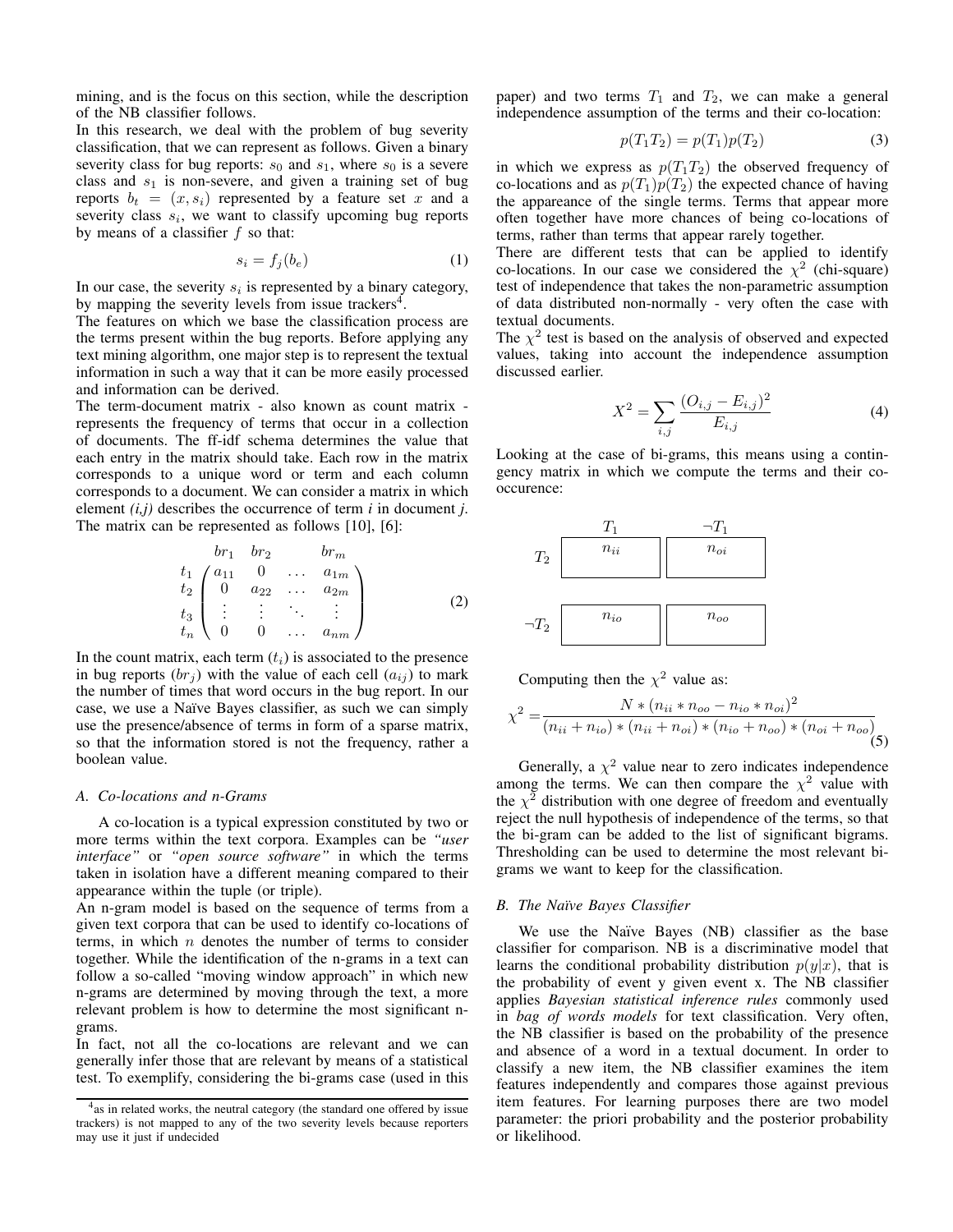mining, and is the focus on this section, while the description of the NB classifier follows.

In this research, we deal with the problem of bug severity classification, that we can represent as follows. Given a binary severity class for bug reports:  $s_0$  and  $s_1$ , where  $s_0$  is a severe class and  $s_1$  is non-severe, and given a training set of bug reports  $b_t = (x, s_i)$  represented by a feature set x and a severity class  $s_i$ , we want to classify upcoming bug reports by means of a classifier  $f$  so that:

$$
s_i = f_j(b_e) \tag{1}
$$

In our case, the severity  $s_i$  is represented by a binary category, by mapping the severity levels from issue trackers<sup>4</sup>.

The features on which we base the classification process are the terms present within the bug reports. Before applying any text mining algorithm, one major step is to represent the textual information in such a way that it can be more easily processed and information can be derived.

The term-document matrix - also known as count matrix represents the frequency of terms that occur in a collection of documents. The ff-idf schema determines the value that each entry in the matrix should take. Each row in the matrix corresponds to a unique word or term and each column corresponds to a document. We can consider a matrix in which element *(i,j)* describes the occurrence of term *i* in document *j*. The matrix can be represented as follows [10], [6]:

$$
\begin{array}{cccc}\n & br_1 & br_2 & br_m \\
t_1 & a_{11} & 0 & \dots & a_{1m} \\
t_2 & 0 & a_{22} & \dots & a_{2m} \\
t_3 & \vdots & \vdots & \ddots & \vdots \\
t_n & 0 & 0 & \dots & a_{nm}\n\end{array}
$$
\n(2)

In the count matrix, each term  $(t<sub>i</sub>)$  is associated to the presence in bug reports  $(br_j)$  with the value of each cell  $(a_{ij})$  to mark the number of times that word occurs in the bug report. In our case, we use a Naïve Bayes classifier, as such we can simply use the presence/absence of terms in form of a sparse matrix, so that the information stored is not the frequency, rather a boolean value.

#### *A. Co-locations and n-Grams*

A co-location is a typical expression constituted by two or more terms within the text corpora. Examples can be *"user interface"* or *"open source software"* in which the terms taken in isolation have a different meaning compared to their appearance within the tuple (or triple).

An n-gram model is based on the sequence of terms from a given text corpora that can be used to identify co-locations of terms, in which  $n$  denotes the number of terms to consider together. While the identification of the n-grams in a text can follow a so-called "moving window approach" in which new n-grams are determined by moving through the text, a more relevant problem is how to determine the most significant ngrams.

In fact, not all the co-locations are relevant and we can generally infer those that are relevant by means of a statistical test. To exemplify, considering the bi-grams case (used in this paper) and two terms  $T_1$  and  $T_2$ , we can make a general independence assumption of the terms and their co-location:

$$
p(T_1 T_2) = p(T_1) p(T_2)
$$
\n(3)

in which we express as  $p(T_1T_2)$  the observed frequency of co-locations and as  $p(T_1)p(T_2)$  the expected chance of having the appareance of the single terms. Terms that appear more often together have more chances of being co-locations of terms, rather than terms that appear rarely together.

There are different tests that can be applied to identify co-locations. In our case we considered the  $\chi^2$  (chi-square) test of independence that takes the non-parametric assumption of data distributed non-normally - very often the case with textual documents.

The  $\chi^2$  test is based on the analysis of observed and expected values, taking into account the independence assumption discussed earlier.

$$
X^{2} = \sum_{i,j} \frac{(O_{i,j} - E_{i,j})^{2}}{E_{i,j}}
$$
(4)

Looking at the case of bi-grams, this means using a contingency matrix in which we compute the terms and their cooccurence:



Computing then the  $\chi^2$  value as:

$$
\chi^{2} = \frac{N * (n_{ii} * n_{oo} - n_{io} * n_{oi})^{2}}{(n_{ii} + n_{io}) * (n_{ii} + n_{oi}) * (n_{io} + n_{oo}) * (n_{oi} + n_{oo})}
$$
(5)

Generally, a  $\chi^2$  value near to zero indicates independence among the terms. We can then compare the  $\chi^2$  value with the  $\chi^2$  distribution with one degree of freedom and eventually reject the null hypothesis of independence of the terms, so that the bi-gram can be added to the list of significant bigrams. Thresholding can be used to determine the most relevant bigrams we want to keep for the classification.

# *B. The Na¨ıve Bayes Classifier*

We use the Naïve Bayes (NB) classifier as the base classifier for comparison. NB is a discriminative model that learns the conditional probability distribution  $p(y|x)$ , that is the probability of event y given event x. The NB classifier applies *Bayesian statistical inference rules* commonly used in *bag of words models* for text classification. Very often, the NB classifier is based on the probability of the presence and absence of a word in a textual document. In order to classify a new item, the NB classifier examines the item features independently and compares those against previous item features. For learning purposes there are two model parameter: the priori probability and the posterior probability or likelihood.

<sup>4</sup> as in related works, the neutral category (the standard one offered by issue trackers) is not mapped to any of the two severity levels because reporters may use it just if undecided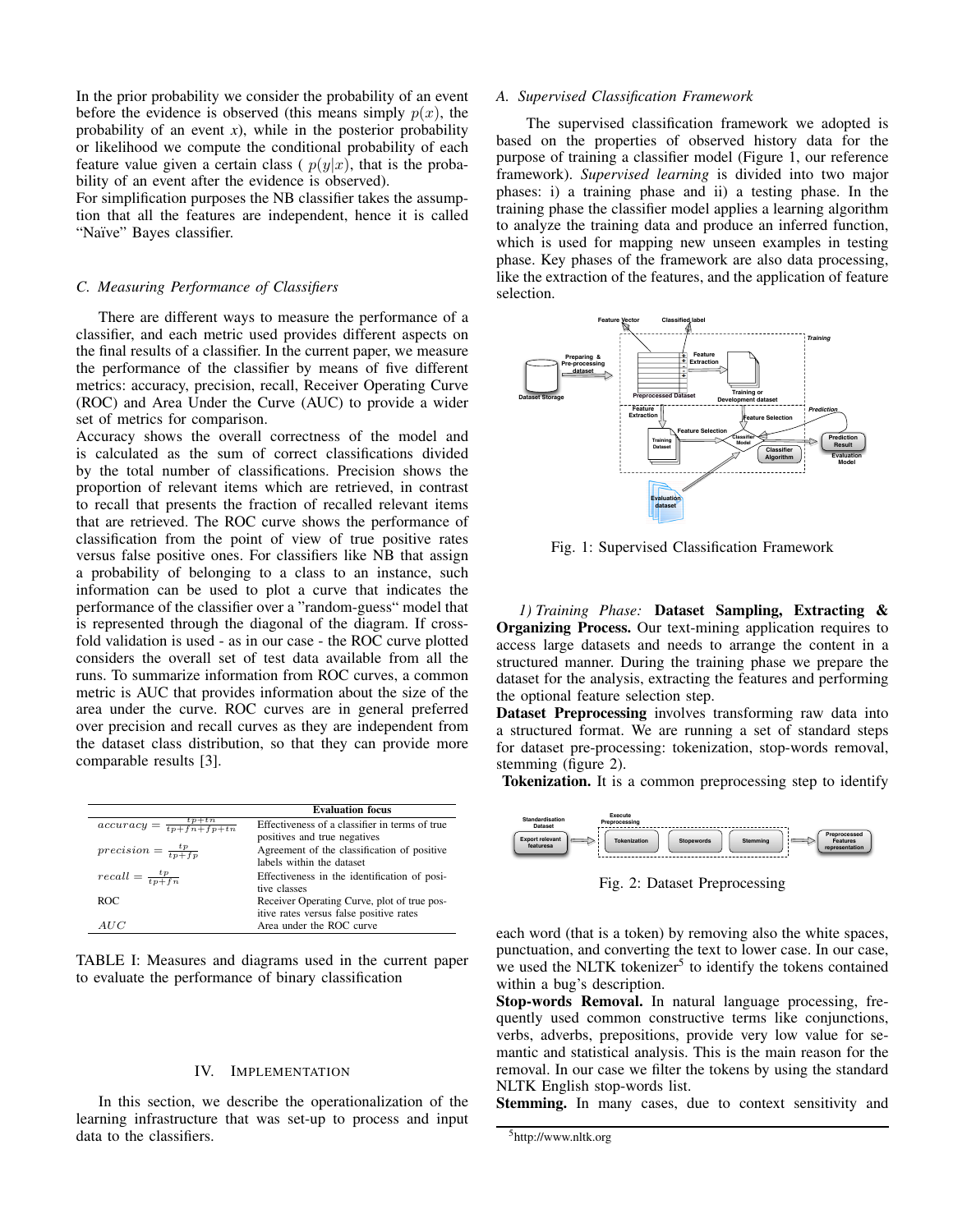In the prior probability we consider the probability of an event before the evidence is observed (this means simply  $p(x)$ , the probability of an event  $x$ ), while in the posterior probability or likelihood we compute the conditional probability of each feature value given a certain class ( $p(y|x)$ , that is the probability of an event after the evidence is observed).

For simplification purposes the NB classifier takes the assumption that all the features are independent, hence it is called "Naïve" Bayes classifier.

#### *C. Measuring Performance of Classifiers*

There are different ways to measure the performance of a classifier, and each metric used provides different aspects on the final results of a classifier. In the current paper, we measure the performance of the classifier by means of five different metrics: accuracy, precision, recall, Receiver Operating Curve (ROC) and Area Under the Curve (AUC) to provide a wider set of metrics for comparison.

Accuracy shows the overall correctness of the model and is calculated as the sum of correct classifications divided by the total number of classifications. Precision shows the proportion of relevant items which are retrieved, in contrast to recall that presents the fraction of recalled relevant items that are retrieved. The ROC curve shows the performance of classification from the point of view of true positive rates versus false positive ones. For classifiers like NB that assign a probability of belonging to a class to an instance, such information can be used to plot a curve that indicates the performance of the classifier over a "random-guess" model that is represented through the diagonal of the diagram. If crossfold validation is used - as in our case - the ROC curve plotted considers the overall set of test data available from all the runs. To summarize information from ROC curves, a common metric is AUC that provides information about the size of the area under the curve. ROC curves are in general preferred over precision and recall curves as they are independent from the dataset class distribution, so that they can provide more comparable results [3].

|                                        | <b>Evaluation focus</b>                        |
|----------------------------------------|------------------------------------------------|
| $accuracy = \frac{tp+tn}{tp+fn+fp+tn}$ | Effectiveness of a classifier in terms of true |
|                                        | positives and true negatives                   |
| $precision = \frac{tp}{tp+fp}$         | Agreement of the classification of positive    |
|                                        | labels within the dataset                      |
| $recall = \frac{tp}{tp+fn}$            | Effectiveness in the identification of posi-   |
|                                        | tive classes                                   |
| ROC.                                   | Receiver Operating Curve, plot of true pos-    |
|                                        | itive rates versus false positive rates        |
| AUC                                    | Area under the ROC curve                       |

TABLE I: Measures and diagrams used in the current paper to evaluate the performance of binary classification

#### IV. IMPLEMENTATION

In this section, we describe the operationalization of the learning infrastructure that was set-up to process and input data to the classifiers.

## *A. Supervised Classification Framework*

The supervised classification framework we adopted is based on the properties of observed history data for the purpose of training a classifier model (Figure 1, our reference framework). *Supervised learning* is divided into two major phases: i) a training phase and ii) a testing phase. In the training phase the classifier model applies a learning algorithm to analyze the training data and produce an inferred function, which is used for mapping new unseen examples in testing phase. Key phases of the framework are also data processing, like the extraction of the features, and the application of feature selection.



Fig. 1: Supervised Classification Framework

*1) Training Phase:* Dataset Sampling, Extracting & Organizing Process. Our text-mining application requires to access large datasets and needs to arrange the content in a structured manner. During the training phase we prepare the dataset for the analysis, extracting the features and performing the optional feature selection step.

Dataset Preprocessing involves transforming raw data into a structured format. We are running a set of standard steps for dataset pre-processing: tokenization, stop-words removal, stemming (figure 2).

Tokenization. It is a common preprocessing step to identify



Fig. 2: Dataset Preprocessing

each word (that is a token) by removing also the white spaces, punctuation, and converting the text to lower case. In our case, we used the NLTK tokenizer<sup>5</sup> to identify the tokens contained within a bug's description.

Stop-words Removal. In natural language processing, frequently used common constructive terms like conjunctions, verbs, adverbs, prepositions, provide very low value for semantic and statistical analysis. This is the main reason for the removal. In our case we filter the tokens by using the standard NLTK English stop-words list.

Stemming. In many cases, due to context sensitivity and

<sup>5</sup>http://www.nltk.org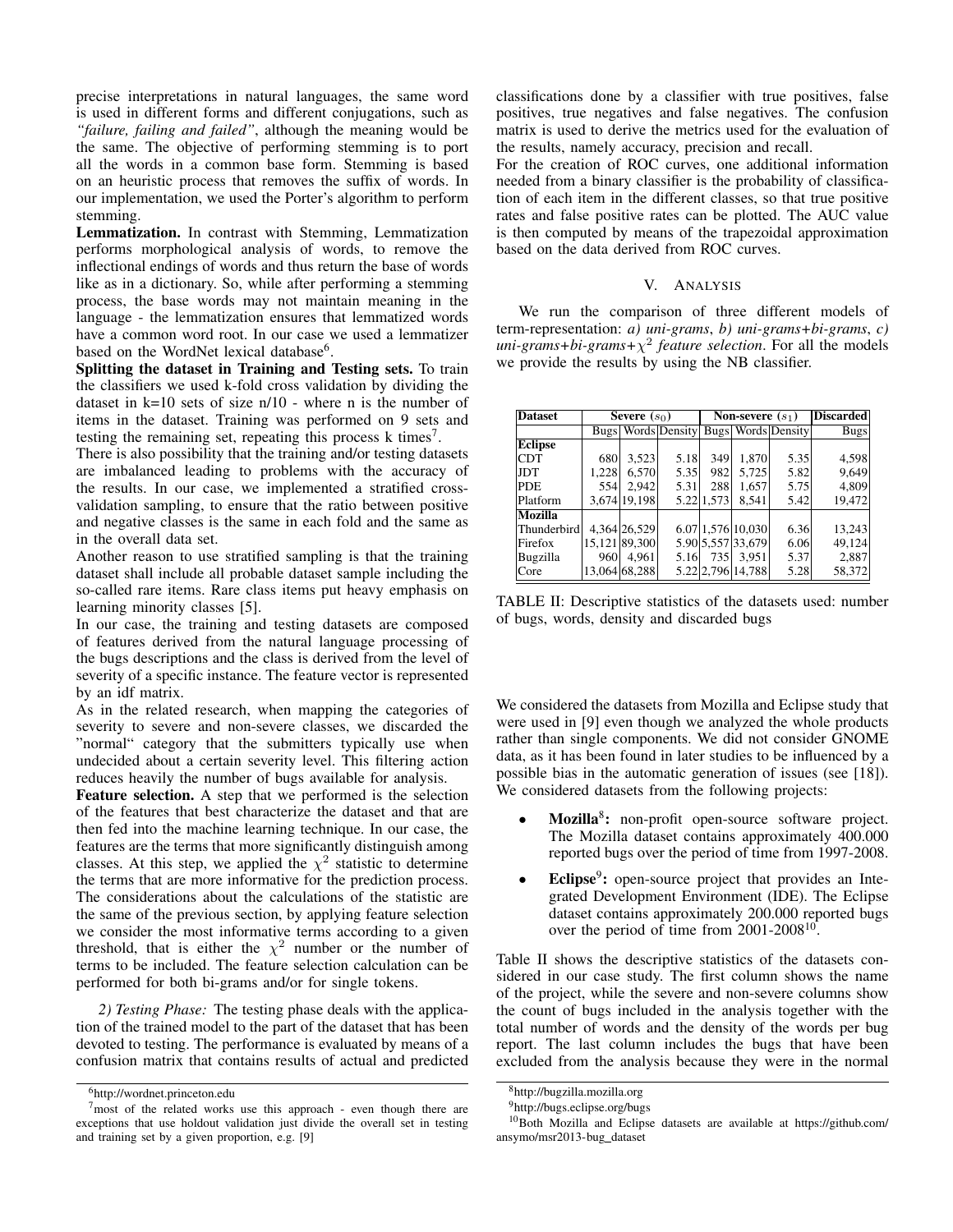precise interpretations in natural languages, the same word is used in different forms and different conjugations, such as *"failure, failing and failed"*, although the meaning would be the same. The objective of performing stemming is to port all the words in a common base form. Stemming is based on an heuristic process that removes the suffix of words. In our implementation, we used the Porter's algorithm to perform stemming.

Lemmatization. In contrast with Stemming, Lemmatization performs morphological analysis of words, to remove the inflectional endings of words and thus return the base of words like as in a dictionary. So, while after performing a stemming process, the base words may not maintain meaning in the language - the lemmatization ensures that lemmatized words have a common word root. In our case we used a lemmatizer based on the WordNet lexical database<sup>6</sup>.

Splitting the dataset in Training and Testing sets. To train the classifiers we used k-fold cross validation by dividing the dataset in  $k=10$  sets of size  $n/10$  - where n is the number of items in the dataset. Training was performed on 9 sets and testing the remaining set, repeating this process  $k$  times<sup>7</sup>.

There is also possibility that the training and/or testing datasets are imbalanced leading to problems with the accuracy of the results. In our case, we implemented a stratified crossvalidation sampling, to ensure that the ratio between positive and negative classes is the same in each fold and the same as in the overall data set.

Another reason to use stratified sampling is that the training dataset shall include all probable dataset sample including the so-called rare items. Rare class items put heavy emphasis on learning minority classes [5].

In our case, the training and testing datasets are composed of features derived from the natural language processing of the bugs descriptions and the class is derived from the level of severity of a specific instance. The feature vector is represented by an idf matrix.

As in the related research, when mapping the categories of severity to severe and non-severe classes, we discarded the "normal" category that the submitters typically use when undecided about a certain severity level. This filtering action reduces heavily the number of bugs available for analysis.

Feature selection. A step that we performed is the selection of the features that best characterize the dataset and that are then fed into the machine learning technique. In our case, the features are the terms that more significantly distinguish among classes. At this step, we applied the  $\chi^2$  statistic to determine the terms that are more informative for the prediction process. The considerations about the calculations of the statistic are the same of the previous section, by applying feature selection we consider the most informative terms according to a given threshold, that is either the  $\chi^2$  number or the number of terms to be included. The feature selection calculation can be performed for both bi-grams and/or for single tokens.

*2) Testing Phase:* The testing phase deals with the application of the trained model to the part of the dataset that has been devoted to testing. The performance is evaluated by means of a confusion matrix that contains results of actual and predicted classifications done by a classifier with true positives, false positives, true negatives and false negatives. The confusion matrix is used to derive the metrics used for the evaluation of the results, namely accuracy, precision and recall.

For the creation of ROC curves, one additional information needed from a binary classifier is the probability of classification of each item in the different classes, so that true positive rates and false positive rates can be plotted. The AUC value is then computed by means of the trapezoidal approximation based on the data derived from ROC curves.

# V. ANALYSIS

We run the comparison of three different models of term-representation: *a) uni-grams*, *b) uni-grams+bi-grams*, *c) uni-grams+bi-grams+*χ 2 *feature selection*. For all the models we provide the results by using the NB classifier.

| <b>Dataset</b> |       | Severe $(s_0)$ |                    |            | Non-severe $(s_1)$ | <b>Discarded</b>          |             |
|----------------|-------|----------------|--------------------|------------|--------------------|---------------------------|-------------|
|                |       |                | Bugs Words Density |            |                    | <b>Bugs</b> Words Density | <b>Bugs</b> |
| <b>Eclipse</b> |       |                |                    |            |                    |                           |             |
| <b>CDT</b>     | 680   | 3,523          | 5.18               | 349        | 1,870              | 5.35                      | 4,598       |
| <b>JDT</b>     | 1.228 | 6.570          | 5.35               | 982        | 5,725              | 5.82                      | 9.649       |
| <b>PDE</b>     | 554   | 2.942          | 5.31               | 288        | 1,657              | 5.75                      | 4.809       |
| Platform       |       | 3.674 19.198   |                    | 5.22 1.573 | 8.541              | 5.42                      | 19.472      |
| Mozilla        |       |                |                    |            |                    |                           |             |
| Thunderbird    |       | 4,364 26,529   |                    |            | 6.07 1,576 10,030  | 6.36                      | 13,243      |
| Firefox        |       | 15,121 89,300  |                    |            | 5.90 5,557 33,679  | 6.06                      | 49.124      |
| Bugzilla       | 9601  | 4.961          | 5.16               | 735        | 3.951              | 5.37                      | 2,887       |
| Core           |       | 13,064 68,288  |                    |            | 5.22 2.796 14,788  | 5.28                      | 58,372      |

TABLE II: Descriptive statistics of the datasets used: number of bugs, words, density and discarded bugs

We considered the datasets from Mozilla and Eclipse study that were used in [9] even though we analyzed the whole products rather than single components. We did not consider GNOME data, as it has been found in later studies to be influenced by a possible bias in the automatic generation of issues (see [18]). We considered datasets from the following projects:

- Mozilla<sup>8</sup>: non-profit open-source software project. The Mozilla dataset contains approximately 400.000 reported bugs over the period of time from 1997-2008.
- Eclipse<sup>9</sup>: open-source project that provides an Integrated Development Environment (IDE). The Eclipse dataset contains approximately 200.000 reported bugs over the period of time from  $2001-2008^{10}$ .

Table II shows the descriptive statistics of the datasets considered in our case study. The first column shows the name of the project, while the severe and non-severe columns show the count of bugs included in the analysis together with the total number of words and the density of the words per bug report. The last column includes the bugs that have been excluded from the analysis because they were in the normal

<sup>6</sup>http://wordnet.princeton.edu

 $7$ most of the related works use this approach - even though there are exceptions that use holdout validation just divide the overall set in testing and training set by a given proportion, e.g. [9]

<sup>8</sup>http://bugzilla.mozilla.org

<sup>9</sup>http://bugs.eclipse.org/bugs

<sup>10</sup>Both Mozilla and Eclipse datasets are available at https://github.com/ ansymo/msr2013-bug\_dataset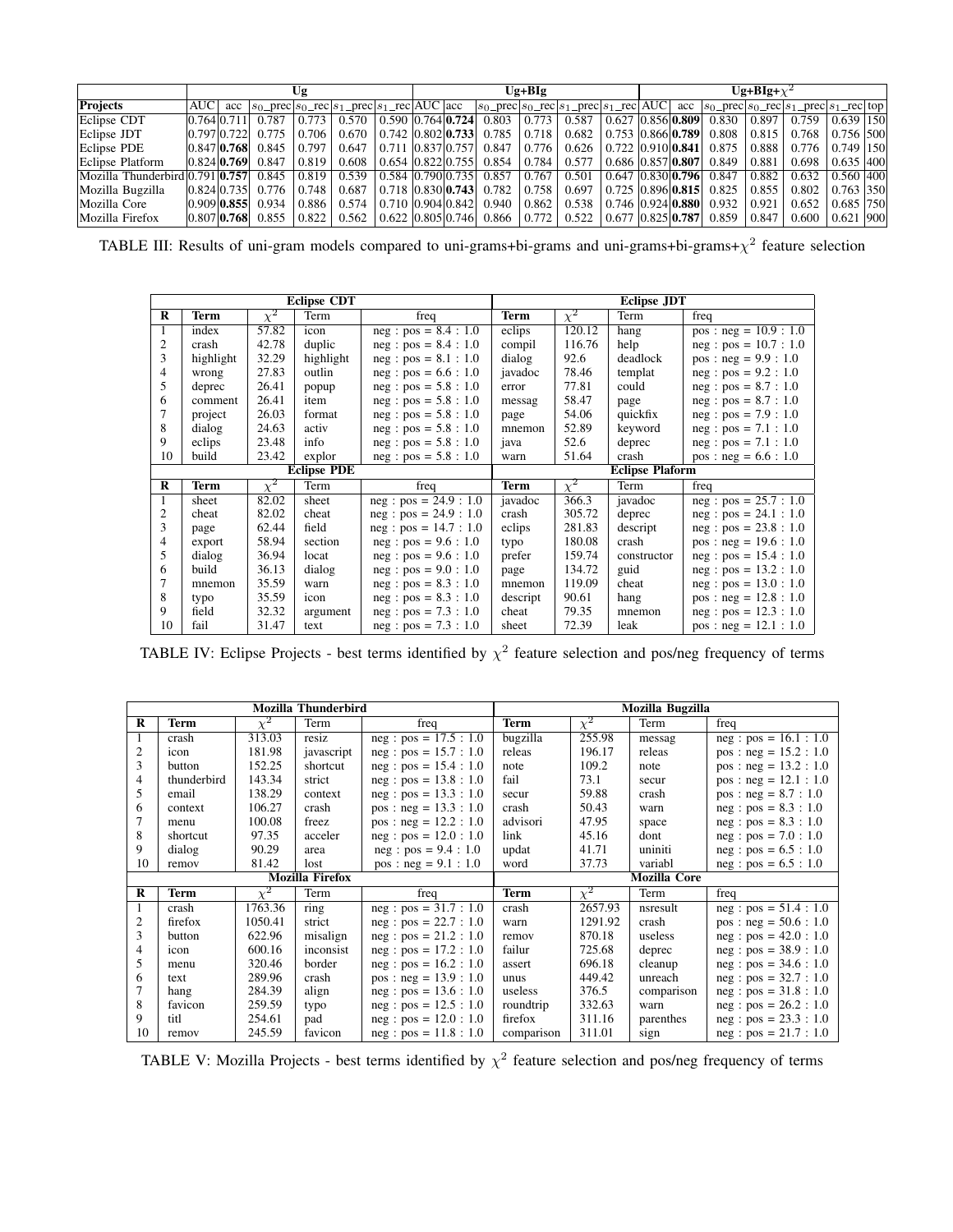|                                                                                                                                       | Ug |  |  |  |  |  | $Ug + BIg$ |  |  |  |                                                                                                                                                                                                                                                                                                                                               | Ug+BIg+ $\chi^2$ |  |  |  |  |                           |  |  |
|---------------------------------------------------------------------------------------------------------------------------------------|----|--|--|--|--|--|------------|--|--|--|-----------------------------------------------------------------------------------------------------------------------------------------------------------------------------------------------------------------------------------------------------------------------------------------------------------------------------------------------|------------------|--|--|--|--|---------------------------|--|--|
| <b>Projects</b>                                                                                                                       |    |  |  |  |  |  |            |  |  |  | AUC acc $ s_0 \text{prec} s_0 \text{rec} s_1 \text{prec} s_1 \text{rec} AUC$ acc $ s_0 \text{prec} s_1 \text{rec} s_1 \text{rec} s_1 \text{rec} AUC$ acc $ s_0 \text{prec} s_0 \text{rec} s_1 \text{rec} s_1 \text{rec} s_1 \text{rec} s_1 \text{rec} s_1 \text{rec} s_1 \text{rec} s_1 \text{rec} s_1$                                       |                  |  |  |  |  |                           |  |  |
| Eclipse CDT                                                                                                                           |    |  |  |  |  |  |            |  |  |  | $[0.764]0.711]$ 0.787 $[0.773]$ 0.570 $[0.590]0.764]$ 0.724 0.803 $[0.773]$ 0.587 $[0.627]0.856]$ 0.809 0.830 $[0.897]$                                                                                                                                                                                                                       |                  |  |  |  |  | $0.759 \pm 0.639 \pm 150$ |  |  |
| Eclipse JDT                                                                                                                           |    |  |  |  |  |  |            |  |  |  | $\vert 0.797 \vert 0.722 \vert 0.775 \vert 0.706 \vert 0.670 \vert 0.742 \vert 0.802 \vert 0.733 \vert 0.785 \vert 0.718 \vert 0.682 \vert 0.753 \vert 0.866 \vert 0.789 \vert 0.808 \vert 0.815 \vert 0.816 \vert 0.817 \vert 0.817 \vert 0.818 \vert 0.817 \vert 0.818 \vert 0.817 \vert 0.818 \vert 0.817 \vert 0.818 \vert 0.817 \vert 0$ |                  |  |  |  |  | $0.768$   0.756   500     |  |  |
| Eclipse PDE                                                                                                                           |    |  |  |  |  |  |            |  |  |  | $[0.847]$ <b>0.768</b> $[0.845]$ $[0.797]$ $[0.647]$ $[0.711]$ $[0.837]$ $[0.757]$ $[0.847]$ $[0.776]$ $[0.626]$ $[0.722]$ $[0.910]$ <b>0.841</b> $[0.875]$ $[0.888]$ $[0.776]$ $[0.749]$ $[150]$                                                                                                                                             |                  |  |  |  |  |                           |  |  |
| Eclipse Platform                                                                                                                      |    |  |  |  |  |  |            |  |  |  | $[0.824]$ 0.769 $[0.847 \mid 0.819 \mid 0.608 \mid 0.654 \mid 0.822]$ 0.755 $[0.854 \mid 0.784 \mid 0.577 \mid 0.686 \mid 0.857]$ 0.807 $[0.849 \mid 0.881 \mid 0.881 \mid 0.887]$                                                                                                                                                            |                  |  |  |  |  | $0.698$   0.635   400     |  |  |
| Mozilla Thunderbird 0.791 0.757 0.845 0.819 0.539 0.584 0.790 0.735 0.857 0.767 0.501 0.647 0.830 0.796 0.847 0.882 0.632 0.632 0.669 |    |  |  |  |  |  |            |  |  |  |                                                                                                                                                                                                                                                                                                                                               |                  |  |  |  |  |                           |  |  |
| Mozilla Bugzilla                                                                                                                      |    |  |  |  |  |  |            |  |  |  | $\vert 0.824 \vert 0.735 \vert 0.776 \vert 0.748 \vert 0.687 \vert 0.718 \vert 0.830 \vert 0.743 \vert 0.782 \vert 0.758 \vert 0.697 \vert 0.725 \vert 0.896 \vert 0.815 \vert 0.825 \vert 0.855 \vert$                                                                                                                                       |                  |  |  |  |  | $0.802 \pm 0.763 \pm 350$ |  |  |
| Mozilla Core                                                                                                                          |    |  |  |  |  |  |            |  |  |  | $[0.909]$ <b>0.855</b> $[0.934]$ $[0.886]$ $[0.574]$ $[0.710]$ $[0.904]$ $[0.842]$ $[0.940]$ $[0.862]$ $[0.538]$ $[0.746]$ $[0.924]$ <b>0.880</b> $[0.932]$ $[0.921]$                                                                                                                                                                         |                  |  |  |  |  | $0.652$   0.685   750     |  |  |
| Mozilla Firefox                                                                                                                       |    |  |  |  |  |  |            |  |  |  | $[0.807]$ <b>0.768</b> $[0.855]$ $[0.822]$ $[0.562]$ $[0.805]$ 0.746 $[0.866]$ $[0.772]$ $[0.522]$ $[0.677]$ $[0.825]$ <b>0.787</b> $[0.859]$ $[0.847]$ $[0.600]$ $[0.621]$ $[900]$                                                                                                                                                           |                  |  |  |  |  |                           |  |  |

TABLE III: Results of uni-gram models compared to uni-grams+bi-grams and uni-grams+bi-grams+ $\chi^2$  feature selection

|                |             |          | <b>Eclipse CDT</b> |                          | <b>Eclipse JDT</b>     |                     |             |                                     |  |  |
|----------------|-------------|----------|--------------------|--------------------------|------------------------|---------------------|-------------|-------------------------------------|--|--|
| $\bf{R}$       | <b>Term</b> | $\chi^2$ | Term               | freq                     | <b>Term</b>            | $\chi^2$            | Term        | freq                                |  |  |
| $\mathbf{1}$   | index       | 57.82    | icon               | $neg : pos = 8.4 : 1.0$  | eclips                 | 120.12              | hang        | pos : $neg = 10.9 : 1.0$            |  |  |
| $\overline{2}$ | crash       | 42.78    | duplic             | $neg: pos = 8.4 : 1.0$   | compil                 | 116.76              | help        | $neg : pos = 10.7 : 1.0$            |  |  |
| 3              | highlight   | 32.29    | highlight          | $neg : pos = 8.1 : 1.0$  | dialog                 | 92.6                | deadlock    | $pos: neg = 9.9 : 1.0$              |  |  |
| $\overline{4}$ | wrong       | 27.83    | outlin             | $neg : pos = 6.6 : 1.0$  | javadoc                | 78.46               | templat     | $neg : pos = 9.2 : 1.0$             |  |  |
| 5              | deprec      | 26.41    | popup              | $neg : pos = 5.8 : 1.0$  | error                  | 77.81               | could       | $neg : pos = 8.7 : 1.0$             |  |  |
| 6              | comment     | 26.41    | item               | $neg : pos = 5.8 : 1.0$  | messag                 | 58.47               | page        | $neg : pos = 8.7 : 1.0$             |  |  |
| 7              | project     | 26.03    | format             | $neg : pos = 5.8 : 1.0$  | page                   | 54.06               | quickfix    | $neg : pos = 7.9 : 1.0$             |  |  |
| 8              | dialog      | 24.63    | activ              | $neg : pos = 5.8 : 1.0$  | mnemon                 | 52.89               | keyword     | $neg : pos = 7.1 : 1.0$             |  |  |
| 9              | eclips      | 23.48    | info               | $neg : pos = 5.8 : 1.0$  | java                   | 52.6                | deprec      | $neg : pos = 7.1 : 1.0$             |  |  |
| 10             | build       | 23.42    | explor             | $neg : pos = 5.8 : 1.0$  | warn                   | 51.64               | crash       | $pos: neg = 6.6 : 1.0$              |  |  |
|                |             |          | <b>Eclipse PDE</b> |                          | <b>Eclipse Plaform</b> |                     |             |                                     |  |  |
| R              | Term        | $\chi^2$ | Term               | freq                     | <b>Term</b>            | $\overline{\chi^2}$ | Term        | freq                                |  |  |
| $\mathbf{1}$   | sheet       | 82.02    | sheet              | $neg : pos = 24.9 : 1.0$ | javadoc                | 366.3               | javadoc     | $neg : pos = 25.7 : \overline{1.0}$ |  |  |
| 2              | cheat       | 82.02    | cheat              | $neg : pos = 24.9 : 1.0$ | crash                  | 305.72              | deprec      | $neg : pos = 24.1 : 1.0$            |  |  |
| 3              | page        | 62.44    | field              | $neg : pos = 14.7 : 1.0$ | eclips                 | 281.83              | descript    | $neg: pos = 23.8 : 1.0$             |  |  |
| 4              | export      | 58.94    | section            | $neg : pos = 9.6 : 1.0$  | typo                   | 180.08              | crash       | $pos: neg = 19.6: 1.0$              |  |  |
| 5              | dialog      | 36.94    | locat              | $neg : pos = 9.6 : 1.0$  | prefer                 | 159.74              | constructor | $neg : pos = 15.4 : 1.0$            |  |  |
| 6              | build       | 36.13    | dialog             | $neg : pos = 9.0 : 1.0$  | page                   | 134.72              | guid        | $neg : pos = 13.2 : 1.0$            |  |  |
| 7              | mnemon      | 35.59    | warn               | $neg : pos = 8.3 : 1.0$  | mnemon                 | 119.09              | cheat       | $neg: pos = 13.0 : 1.0$             |  |  |
| 8              | typo        | 35.59    | icon               | $neg : pos = 8.3 : 1.0$  | descript               | 90.61               | hang        | $pos: neg = 12.8: 1.0$              |  |  |
| 9              | field       | 32.32    | argument           | $neg : pos = 7.3 : 1.0$  | cheat                  | 79.35               | mnemon      | $neg : pos = 12.3 : 1.0$            |  |  |
| 10             | fail        | 31.47    | text               | $neg : pos = 7.3 : 1.0$  | sheet                  | 72.39               | leak        | $pos: neg = 12.1 : 1.0$             |  |  |

TABLE IV: Eclipse Projects - best terms identified by  $\chi^2$  feature selection and pos/neg frequency of terms

|                |             |          | <b>Mozilla Thunderbird</b> |                          | Mozilla Bugzilla    |          |            |                          |  |  |
|----------------|-------------|----------|----------------------------|--------------------------|---------------------|----------|------------|--------------------------|--|--|
| $\bf{R}$       | Term        | $\chi^2$ | Term                       | freq                     | <b>Term</b>         | $\chi^2$ | Term       | freq                     |  |  |
|                | crash       | 313.03   | resiz                      | $neg : pos = 17.5 : 1.0$ | bugzilla            | 255.98   | messag     | $neg : pos = 16.1 : 1.0$ |  |  |
| $\overline{2}$ | icon        | 181.98   | javascript                 | $neg : pos = 15.7 : 1.0$ | releas              | 196.17   | releas     | $pos: neg = 15.2 : 1.0$  |  |  |
| 3              | button      | 152.25   | shortcut                   | $neg : pos = 15.4 : 1.0$ | note                | 109.2    | note       | $pos: neg = 13.2 : 1.0$  |  |  |
| 4              | thunderbird | 143.34   | strict                     | $neg : pos = 13.8 : 1.0$ | fail                | 73.1     | secur      | $pos: neg = 12.1 : 1.0$  |  |  |
| 5              | email       | 138.29   | context                    | $neg : pos = 13.3 : 1.0$ | secur               | 59.88    | crash      | $pos: neg = 8.7 : 1.0$   |  |  |
| 6              | context     | 106.27   | crash                      | $pos: neg = 13.3 : 1.0$  | crash               | 50.43    | warn       | $neg: pos = 8.3 : 1.0$   |  |  |
|                | menu        | 100.08   | freez                      | $pos: neg = 12.2 : 1.0$  | advisori            | 47.95    | space      | $neg : pos = 8.3 : 1.0$  |  |  |
| 8              | shortcut    | 97.35    | acceler                    | $neg : pos = 12.0 : 1.0$ | link                | 45.16    | dont       | $neg : pos = 7.0 : 1.0$  |  |  |
| 9              | dialog      | 90.29    | area                       | $neg : pos = 9.4 : 1.0$  | updat               | 41.71    | uniniti    | $neg: pos = 6.5 : 1.0$   |  |  |
| 10             | remov       | 81.42    | lost                       | $pos: neg = 9.1 : 1.0$   | word                | 37.73    | variabl    | $neg : pos = 6.5 : 1.0$  |  |  |
|                |             |          | <b>Mozilla Firefox</b>     |                          | <b>Mozilla Core</b> |          |            |                          |  |  |
| $\bf{R}$       | <b>Term</b> | $\chi^2$ | Term                       | freq                     | Term                | $\chi^2$ | Term       | freq                     |  |  |
| 1              | crash       | 1763.36  | ring                       | $neg : pos = 31.7 : 1.0$ | crash               | 2657.93  | nsresult   | $neg : pos = 51.4 : 1.0$ |  |  |
| 2              | firefox     | 1050.41  | strict                     | $neg : pos = 22.7 : 1.0$ | warn                | 1291.92  | crash      | $pos: neg = 50.6 : 1.0$  |  |  |
| 3              | button      | 622.96   | misalign                   | $neg : pos = 21.2 : 1.0$ | remov               | 870.18   | useless    | $neg : pos = 42.0 : 1.0$ |  |  |
| 4              | icon        | 600.16   | inconsist                  | $neg : pos = 17.2 : 1.0$ | failur              | 725.68   | deprec     | $neg : pos = 38.9 : 1.0$ |  |  |
| 5              | menu        | 320.46   | border                     | $neg : pos = 16.2 : 1.0$ | assert              | 696.18   | cleanup    | $neg : pos = 34.6 : 1.0$ |  |  |
| 6              | text        | 289.96   | crash                      | $pos: neg = 13.9 : 1.0$  | unus                | 449.42   | unreach    | $neg : pos = 32.7 : 1.0$ |  |  |
| 7              | hang        | 284.39   | align                      | $neg : pos = 13.6 : 1.0$ | useless             | 376.5    | comparison | $neg : pos = 31.8 : 1.0$ |  |  |
| 8              | favicon     | 259.59   | typo                       | $neg : pos = 12.5 : 1.0$ | roundtrip           | 332.63   | warn       | $neg : pos = 26.2 : 1.0$ |  |  |
| 9              | titl        | 254.61   | pad                        | $neg : pos = 12.0 : 1.0$ | firefox             | 311.16   | parenthes  | $neg : pos = 23.3 : 1.0$ |  |  |
| 10             | remov       | 245.59   | favicon                    | $neg : pos = 11.8 : 1.0$ | comparison          | 311.01   | sign       | $neg : pos = 21.7 : 1.0$ |  |  |

TABLE V: Mozilla Projects - best terms identified by  $\chi^2$  feature selection and pos/neg frequency of terms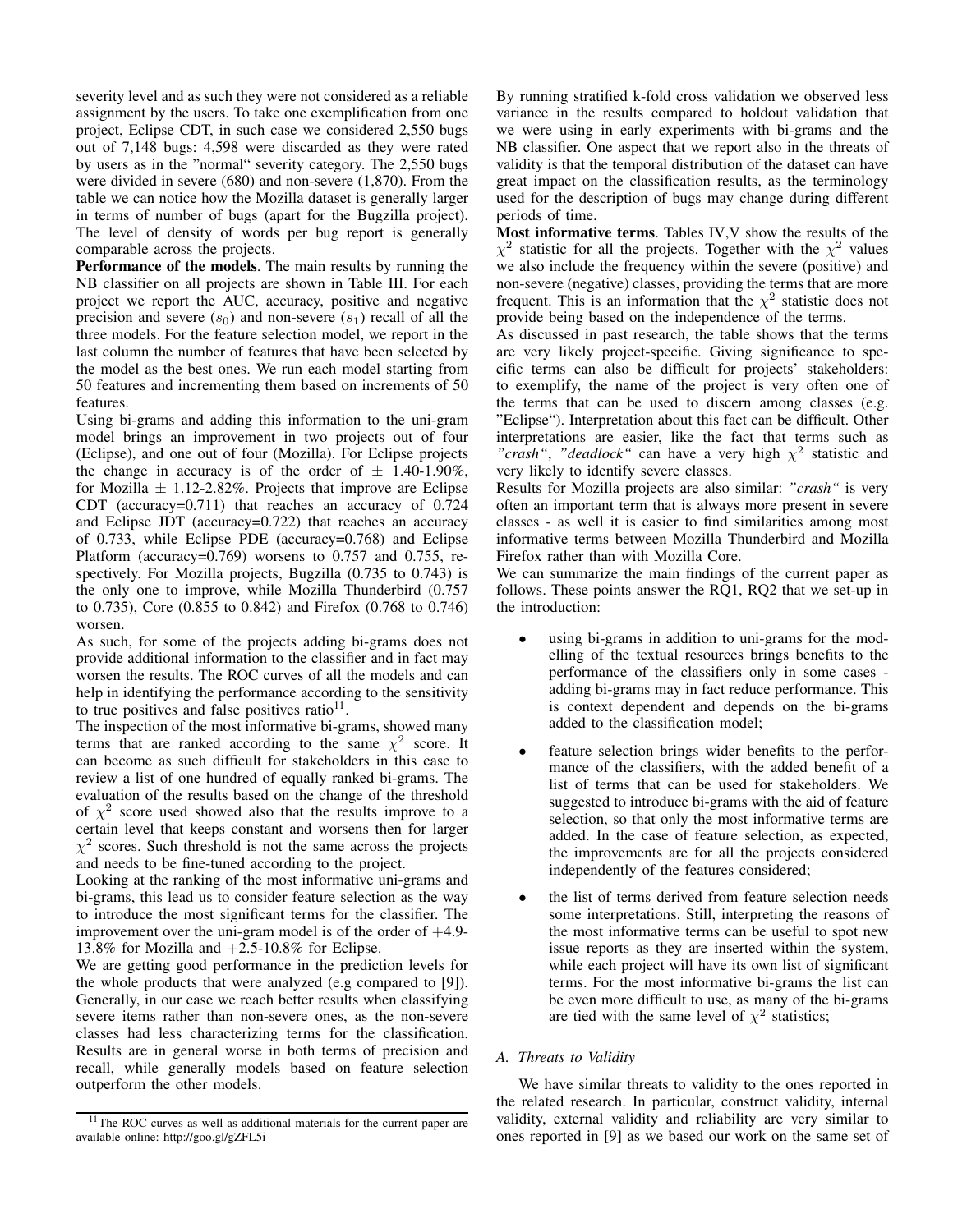severity level and as such they were not considered as a reliable assignment by the users. To take one exemplification from one project, Eclipse CDT, in such case we considered 2,550 bugs out of 7,148 bugs: 4,598 were discarded as they were rated by users as in the "normal" severity category. The 2,550 bugs were divided in severe (680) and non-severe (1,870). From the table we can notice how the Mozilla dataset is generally larger in terms of number of bugs (apart for the Bugzilla project). The level of density of words per bug report is generally comparable across the projects.

Performance of the models. The main results by running the NB classifier on all projects are shown in Table III. For each project we report the AUC, accuracy, positive and negative precision and severe  $(s_0)$  and non-severe  $(s_1)$  recall of all the three models. For the feature selection model, we report in the last column the number of features that have been selected by the model as the best ones. We run each model starting from 50 features and incrementing them based on increments of 50 features.

Using bi-grams and adding this information to the uni-gram model brings an improvement in two projects out of four (Eclipse), and one out of four (Mozilla). For Eclipse projects the change in accuracy is of the order of  $\pm$  1.40-1.90%, for Mozilla  $\pm$  1.12-2.82%. Projects that improve are Eclipse CDT (accuracy=0.711) that reaches an accuracy of 0.724 and Eclipse JDT (accuracy=0.722) that reaches an accuracy of 0.733, while Eclipse PDE (accuracy=0.768) and Eclipse Platform (accuracy=0.769) worsens to 0.757 and 0.755, respectively. For Mozilla projects, Bugzilla (0.735 to 0.743) is the only one to improve, while Mozilla Thunderbird (0.757 to 0.735), Core (0.855 to 0.842) and Firefox (0.768 to 0.746) worsen.

As such, for some of the projects adding bi-grams does not provide additional information to the classifier and in fact may worsen the results. The ROC curves of all the models and can help in identifying the performance according to the sensitivity to true positives and false positives ratio $11$ .

The inspection of the most informative bi-grams, showed many terms that are ranked according to the same  $\chi^2$  score. It can become as such difficult for stakeholders in this case to review a list of one hundred of equally ranked bi-grams. The evaluation of the results based on the change of the threshold of  $\chi^2$  score used showed also that the results improve to a certain level that keeps constant and worsens then for larger  $\chi^2$  scores. Such threshold is not the same across the projects and needs to be fine-tuned according to the project.

Looking at the ranking of the most informative uni-grams and bi-grams, this lead us to consider feature selection as the way to introduce the most significant terms for the classifier. The improvement over the uni-gram model is of the order of  $+4.9$ -13.8% for Mozilla and  $+2.5$ -10.8% for Eclipse.

We are getting good performance in the prediction levels for the whole products that were analyzed (e.g compared to [9]). Generally, in our case we reach better results when classifying severe items rather than non-severe ones, as the non-severe classes had less characterizing terms for the classification. Results are in general worse in both terms of precision and recall, while generally models based on feature selection outperform the other models.

By running stratified k-fold cross validation we observed less variance in the results compared to holdout validation that we were using in early experiments with bi-grams and the NB classifier. One aspect that we report also in the threats of validity is that the temporal distribution of the dataset can have great impact on the classification results, as the terminology used for the description of bugs may change during different periods of time.

Most informative terms. Tables IV,V show the results of the  $\chi^2$  statistic for all the projects. Together with the  $\chi^2$  values we also include the frequency within the severe (positive) and non-severe (negative) classes, providing the terms that are more frequent. This is an information that the  $\chi^2$  statistic does not provide being based on the independence of the terms.

As discussed in past research, the table shows that the terms are very likely project-specific. Giving significance to specific terms can also be difficult for projects' stakeholders: to exemplify, the name of the project is very often one of the terms that can be used to discern among classes (e.g. "Eclipse"). Interpretation about this fact can be difficult. Other interpretations are easier, like the fact that terms such as "crash", "deadlock" can have a very high  $\chi^2$  statistic and very likely to identify severe classes.

Results for Mozilla projects are also similar: *"crash"* is very often an important term that is always more present in severe classes - as well it is easier to find similarities among most informative terms between Mozilla Thunderbird and Mozilla Firefox rather than with Mozilla Core.

We can summarize the main findings of the current paper as follows. These points answer the RQ1, RQ2 that we set-up in the introduction:

- using bi-grams in addition to uni-grams for the modelling of the textual resources brings benefits to the performance of the classifiers only in some cases adding bi-grams may in fact reduce performance. This is context dependent and depends on the bi-grams added to the classification model;
- feature selection brings wider benefits to the performance of the classifiers, with the added benefit of a list of terms that can be used for stakeholders. We suggested to introduce bi-grams with the aid of feature selection, so that only the most informative terms are added. In the case of feature selection, as expected, the improvements are for all the projects considered independently of the features considered;
- the list of terms derived from feature selection needs some interpretations. Still, interpreting the reasons of the most informative terms can be useful to spot new issue reports as they are inserted within the system, while each project will have its own list of significant terms. For the most informative bi-grams the list can be even more difficult to use, as many of the bi-grams are tied with the same level of  $\chi^2$  statistics;

# *A. Threats to Validity*

We have similar threats to validity to the ones reported in the related research. In particular, construct validity, internal validity, external validity and reliability are very similar to ones reported in [9] as we based our work on the same set of

<sup>&</sup>lt;sup>11</sup>The ROC curves as well as additional materials for the current paper are available online: http://goo.gl/gZFL5i